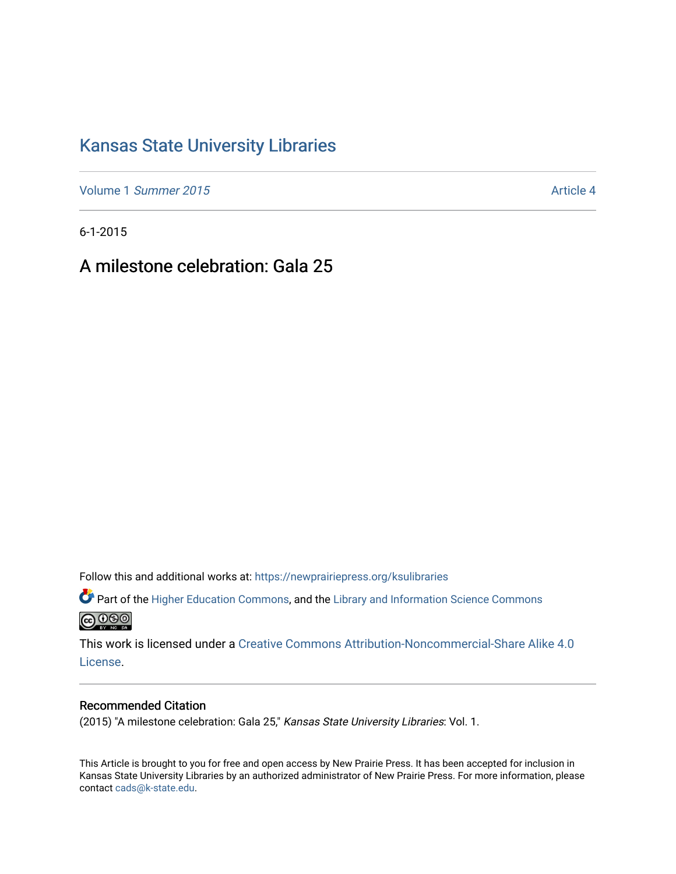## [Kansas State University Libraries](https://newprairiepress.org/ksulibraries)

Volume 1 [Summer 2015](https://newprairiepress.org/ksulibraries/vol1) Article 4

6-1-2015

A milestone celebration: Gala 25

Follow this and additional works at: [https://newprairiepress.org/ksulibraries](https://newprairiepress.org/ksulibraries?utm_source=newprairiepress.org%2Fksulibraries%2Fvol1%2Fiss1%2F4&utm_medium=PDF&utm_campaign=PDFCoverPages)

Part of the [Higher Education Commons,](http://network.bepress.com/hgg/discipline/1245?utm_source=newprairiepress.org%2Fksulibraries%2Fvol1%2Fiss1%2F4&utm_medium=PDF&utm_campaign=PDFCoverPages) and the [Library and Information Science Commons](http://network.bepress.com/hgg/discipline/1018?utm_source=newprairiepress.org%2Fksulibraries%2Fvol1%2Fiss1%2F4&utm_medium=PDF&utm_campaign=PDFCoverPages)  <u>@000</u>

This work is licensed under a [Creative Commons Attribution-Noncommercial-Share Alike 4.0](https://creativecommons.org/licenses/by-nc-sa/4.0/) [License.](https://creativecommons.org/licenses/by-nc-sa/4.0/)

#### Recommended Citation

(2015) "A milestone celebration: Gala 25," Kansas State University Libraries: Vol. 1.

This Article is brought to you for free and open access by New Prairie Press. It has been accepted for inclusion in Kansas State University Libraries by an authorized administrator of New Prairie Press. For more information, please contact [cads@k-state.edu](mailto:cads@k-state.edu).